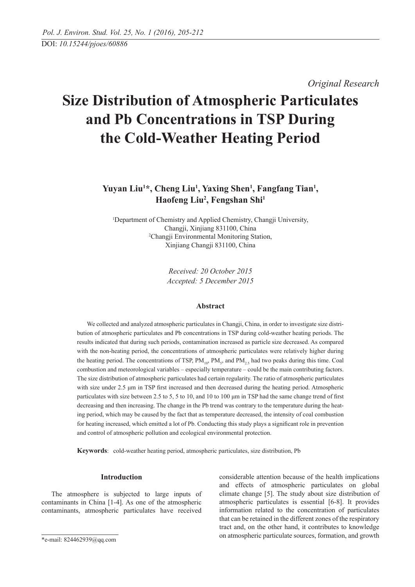*Original Research* 

# **Size Distribution of Atmospheric Particulates and Pb Concentrations in TSP During the Cold-Weather Heating Period**

# Yuyan Liu<sup>1\*</sup>, Cheng Liu<sup>1</sup>, Yaxing Shen<sup>1</sup>, Fangfang Tian<sup>1</sup>, **Haofeng Liu2 , Fengshan Shi1**

1 Department of Chemistry and Applied Chemistry, Changji University, Changji, Xinjiang 831100, China 2 Changji Environmental Monitoring Station, Xinjiang Changji 831100, China

> *Received: 20 October 2015 Accepted: 5 December 2015*

# **Abstract**

We collected and analyzed atmospheric particulates in Changji, China, in order to investigate size distribution of atmospheric particulates and Pb concentrations in TSP during cold-weather heating periods. The results indicated that during such periods, contamination increased as particle size decreased. As compared with the non-heating period, the concentrations of atmospheric particulates were relatively higher during the heating period. The concentrations of TSP,  $PM_{10}$ ,  $PM_{5}$ , and  $PM_{2.5}$  had two peaks during this time. Coal combustion and meteorological variables – especially temperature – could be the main contributing factors. The size distribution of atmospheric particulates had certain regularity. The ratio of atmospheric particulates with size under 2.5 um in TSP first increased and then decreased during the heating period. Atmospheric particulates with size between 2.5 to 5, 5 to 10, and 10 to 100 μm in TSP had the same change trend of first decreasing and then increasing. The change in the Pb trend was contrary to the temperature during the heating period, which may be caused by the fact that as temperature decreased, the intensity of coal combustion for heating increased, which emitted a lot of Pb. Conducting this study plays a significant role in prevention and control of atmospheric pollution and ecological environmental protection.

**Keywords**: cold-weather heating period, atmospheric particulates, size distribution, Pb

#### **Introduction**

The atmosphere is subjected to large inputs of contaminants in China [1-4]. As one of the atmospheric contaminants, atmospheric particulates have received

considerable attention because of the health implications and effects of atmospheric particulates on global climate change [5]. The study about size distribution of atmospheric particulates is essential [6-8]. It provides information related to the concentration of particulates that can be retained in the different zones of the respiratory tract and, on the other hand, it contributes to knowledge on atmospheric particulate sources, formation, and growth

<sup>\*</sup>e-mail: 824462939@qq.com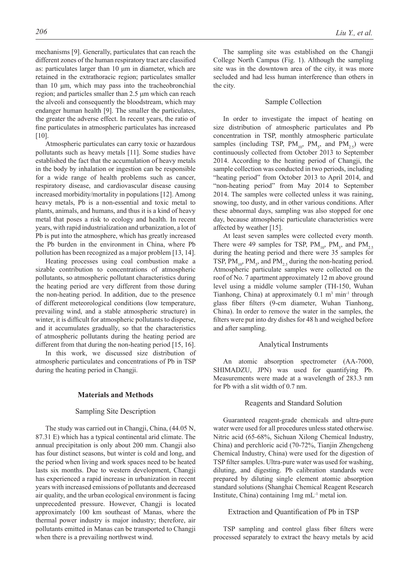mechanisms [9]. Generally, particulates that can reach the different zones of the human respiratory tract are classified as: particulates larger than 10 μm in diameter, which are retained in the extrathoracic region; particulates smaller than 10 μm, which may pass into the tracheobronchial region; and particles smaller than 2.5 μm which can reach the alveoli and consequently the bloodstream, which may endanger human health [9]. The smaller the particulates, the greater the adverse effect. In recent years, the ratio of fine particulates in atmospheric particulates has increased  $[10]$ .

Atmospheric particulates can carry toxic or hazardous pollutants such as heavy metals [11]. Some studies have established the fact that the accumulation of heavy metals in the body by inhalation or ingestion can be responsible for a wide range of health problems such as cancer, respiratory disease, and cardiovascular disease causing increased morbidity/mortality in populations [12]. Among heavy metals, Pb is a non-essential and toxic metal to plants, animals, and humans, and thus it is a kind of heavy metal that poses a risk to ecology and health. In recent years, with rapid industrialization and urbanization, a lot of Pb is put into the atmosphere, which has greatly increased the Pb burden in the environment in China, where Pb pollution has been recognized as a major problem [13, 14].

Heating processes using coal combustion make a sizable contribution to concentrations of atmospheric pollutants, so atmospheric pollutant characteristics during the heating period are very different from those during the non-heating period. In addition, due to the presence of different meteorological conditions (low temperature, prevailing wind, and a stable atmospheric structure) in winter, it is difficult for atmospheric pollutants to disperse, and it accumulates gradually, so that the characteristics of atmospheric pollutants during the heating period are different from that during the non-heating period [15, 16].

In this work, we discussed size distribution of atmospheric particulates and concentrations of Pb in TSP during the heating period in Changji.

# **Materials and Methods**

#### Sampling Site Description

The study was carried out in Changji, China, (44.05 N, 87.31 E) which has a typical continental arid climate. The annual precipitation is only about 200 mm. Changji also has four distinct seasons, but winter is cold and long, and the period when living and work spaces need to be heated lasts six months. Due to western development, Changji has experienced a rapid increase in urbanization in recent years with increased emissions of pollutants and decreased air quality, and the urban ecological environment is facing unprecedented pressure. However, Changji is located approximately 100 km southeast of Manas, where the thermal power industry is major industry; therefore, air pollutants emitted in Manas can be transported to Changji when there is a prevailing northwest wind.

The sampling site was established on the Changji College North Campus (Fig. 1). Although the sampling site was in the downtown area of the city, it was more secluded and had less human interference than others in the city.

# Sample Collection

In order to investigate the impact of heating on size distribution of atmospheric particulates and Pb concentration in TSP, monthly atmospheric particulate samples (including TSP,  $PM_{10}$ ,  $PM_{5}$ , and  $PM_{2.5}$ ) were continuously collected from October 2013 to September 2014. According to the heating period of Changji, the sample collection was conducted in two periods, including "heating period" from October 2013 to April 2014, and "non-heating period" from May 2014 to September 2014. The samples were collected unless it was raining, snowing, too dusty, and in other various conditions. After these abnormal days, sampling was also stopped for one day, because atmospheric particulate characteristics were affected by weather [15].

At least seven samples were collected every month. There were 49 samples for TSP,  $PM_{10}$ ,  $PM_{5}$ , and  $PM_{2.5}$ during the heating period and there were 35 samples for TSP,  $PM_{10}$ ,  $PM_{5}$ , and  $PM_{2.5}$  during the non-heating period. Atmospheric particulate samples were collected on the roof of No. 7 apartment approximately 12 m above ground level using a middle volume sampler (TH-150, Wuhan Tianhong, China) at approximately  $0.1 \text{ m}^3 \text{ min}^{-1}$  through glass fiber filters (9-cm diameter, Wuhan Tianhong, China). In order to remove the water in the samples, the filters were put into dry dishes for 48 h and weighed before and after sampling.

#### Analytical Instruments

An atomic absorption spectrometer (AA-7000, SHIMADZU, JPN) was used for quantifying Pb. Measurements were made at a wavelength of 283.3 nm for Pb with a slit width of 0.7 nm.

#### Reagents and Standard Solution

Guaranteed reagent-grade chemicals and ultra-pure water were used for all procedures unless stated otherwise. Nitric acid (65-68%, Sichuan Xilong Chemical Industry, China) and perchloric acid (70-72%, Tianjin Zhengcheng Chemical Industry, China) were used for the digestion of TSP filter samples. Ultra-pure water was used for washing, diluting, and digesting. Pb calibration standards were prepared by diluting single element atomic absorption standard solutions (Shanghai Chemical Reagent Research Institute, China) containing 1mg mL-1 metal ion.

#### Extraction and Quantification of Pb in TSP

TSP sampling and control glass fiber filters were processed separately to extract the heavy metals by acid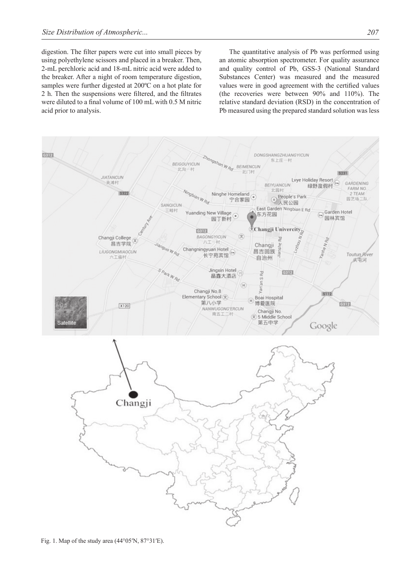digestion. The filter papers were cut into small pieces by using polyethylene scissors and placed in a breaker. Then, 2-mL perchloric acid and 18-mL nitric acid were added to the breaker. After a night of room temperature digestion, samples were further digested at 200ºC on a hot plate for 2 h. Then the suspensions were filtered, and the filtrates were diluted to a final volume of 100 mL with 0.5 M nitric acid prior to analysis.

The quantitative analysis of Pb was performed using an atomic absorption spectrometer. For quality assurance and quality control of Pb, GSS-3 (National Standard Substances Center) was measured and the measured values were in good agreement with the certified values (the recoveries were between 90% and 110%). The relative standard deviation (RSD) in the concentration of Pb measured using the prepared standard solution was less

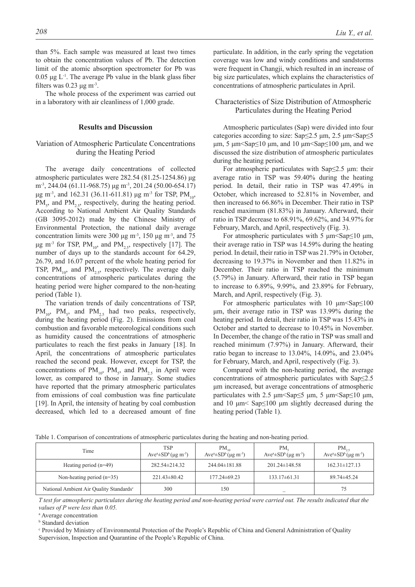than 5%. Each sample was measured at least two times to obtain the concentration values of Pb. The detection limit of the atomic absorption spectrometer for Pb was  $0.05 \mu g L$ <sup>-1</sup>. The average Pb value in the blank glass fiber filters was  $0.23 \mu g \text{ m}^3$ .

The whole process of the experiment was carried out in a laboratory with air cleanliness of 1,000 grade.

# **Results and Discussion**

# Variation of Atmospheric Particulate Concentrations during the Heating Period

The average daily concentrations of collected atmospheric particulates were 282.54 (81.25-1254.86) μg m<sup>-3</sup>, 244.04 (61.11-968.75) μg m<sup>-3</sup>, 201.24 (50.00-654.17) μg m<sup>-3</sup>, and 162.31 (36.11-611.81) μg m<sup>-3</sup> for TSP, PM<sub>10</sub>,  $PM<sub>5</sub>$ , and  $PM<sub>2.5</sub>$ , respectively, during the heating period. According to National Ambient Air Quality Standards (GB 3095-2012) made by the Chinese Ministry of Environmental Protection, the national daily average concentration limits were 300 μg m<sup>-3</sup>, 150 μg m<sup>-3</sup>, and 75 μg m<sup>-3</sup> for TSP, PM<sub>10</sub>, and PM<sub>2,5</sub>, respectively [17]. The number of days up to the standards account for 64.29, 26.79, and 16.07 percent of the whole heating period for TSP,  $PM_{10}$ , and  $PM_{2.5}$ , respectively. The average daily concentrations of atmospheric particulates during the heating period were higher compared to the non-heating period (Table 1).

The variation trends of daily concentrations of TSP,  $PM_{10}$ ,  $PM_{5}$ , and  $PM_{2.5}$  had two peaks, respectively, during the heating period (Fig. 2). Emissions from coal combustion and favorable meteorological conditions such as humidity caused the concentrations of atmospheric particulates to reach the first peaks in January [18]. In April, the concentrations of atmospheric particulates reached the second peak. However, except for TSP, the concentrations of  $PM_{10}$ ,  $PM_{5}$ , and  $PM_{2.5}$  in April were lower, as compared to those in January. Some studies have reported that the primary atmospheric particulates from emissions of coal combustion was fine particulate [19]. In April, the intensity of heating by coal combustion decreased, which led to a decreased amount of fine

particulate. In addition, in the early spring the vegetation coverage was low and windy conditions and sandstorms were frequent in Changji, which resulted in an increase of big size particulates, which explains the characteristics of concentrations of atmospheric particulates in April.

# Characteristics of Size Distribution of Atmospheric Particulates during the Heating Period

Atmospheric particulates (Sap) were divided into four categories according to size:  $\text{Sap} \leq 2.5 \mu \text{m}$ ,  $2.5 \mu \text{m} \leq \text{Sap} \leq 5$ μm, 5 μm  $\text{Sap} \leq 10$  μm, and 10 μm  $\text{Sap} \leq 100$  μm, and we discussed the size distribution of atmospheric particulates during the heating period.

For atmospheric particulates with  $\text{Sap} \leq 2.5$  μm: their average ratio in TSP was 59.40% during the heating period. In detail, their ratio in TSP was 47.49% in October, which increased to 52.81% in November, and then increased to 66.86% in December. Their ratio in TSP reached maximum (81.83%) in January. Afterward, their ratio in TSP decrease to 68.91%, 69.62%, and 34.97% for February, March, and April, respectively (Fig. 3).

For atmospheric particulates with 5  $\mu$ m<Sap $\leq$ 10  $\mu$ m, their average ratio in TSP was 14.59% during the heating period. In detail, their ratio in TSP was 21.79% in October, decreasing to 19.37% in November and then 11.82% in December. Their ratio in TSP reached the minimum (5.79%) in January. Afterward, their ratio in TSP began to increase to 6.89%, 9.99%, and 23.89% for February, March, and April, respectively (Fig. 3).

For atmospheric particulates with 10 μm<Sap≤100 μm, their average ratio in TSP was 13.99% during the heating period. In detail, their ratio in TSP was 15.43% in October and started to decrease to 10.45% in November. In December, the change of the ratio in TSP was small and reached minimum (7.97%) in January. Afterward, their ratio began to increase to 13.04%, 14.09%, and 23.04% for February, March, and April, respectively (Fig. 3).

Compared with the non-heating period, the average concentrations of atmospheric particulates with Sap≤2.5 μm increased, but average concentrations of atmospheric particulates with 2.5  $\mu$ m<Sap $\leq$ 5  $\mu$ m, 5  $\mu$ m<Sap $\leq$ 10  $\mu$ m, and 10 μm< Sap≤100 μm slightly decreased during the heating period (Table 1).

| Time                                                | <b>TSP</b><br>$Ave^a \pm SD^b(\mu g \, m^{-3})$ | $PM_{10}$<br>$Ave^a \pm SD^b$ ( $\mu$ g m <sup>-3</sup> ) | PM.<br>$Ave^a \pm SD^b(\mu g \, m^3)$ | $PM_{2}$<br>$Ave^a \pm SD^b(\mu g \, m^{-3})$ |
|-----------------------------------------------------|-------------------------------------------------|-----------------------------------------------------------|---------------------------------------|-----------------------------------------------|
| Heating period $(n=49)$                             | $282.54 \pm 214.32$                             | $244.04 \pm 181.88$                                       | $201.24 \pm 148.58$                   | $162.31 \pm 127.13$                           |
| Non-heating period $(n=35)$                         | $221.43 \pm 80.42$                              | $177.24 \pm 69.23$                                        | $133.17\pm61.31$                      | 89.74±45.24                                   |
| National Ambient Air Quality Standards <sup>c</sup> | 300                                             | 150                                                       |                                       | 75                                            |

Table 1. Comparison of concentrations of atmospheric particulates during the heating and non-heating period.

*T test for atmospheric particulates during the heating period and non-heating period were carried out. The results indicated that the values of P were less than 0.05.*

a Average concentration

**b** Standard deviation

<sup>c</sup> Provided by Ministry of Environmental Protection of the People's Republic of China and General Administration of Quality Supervision, Inspection and Quarantine of the People's Republic of China.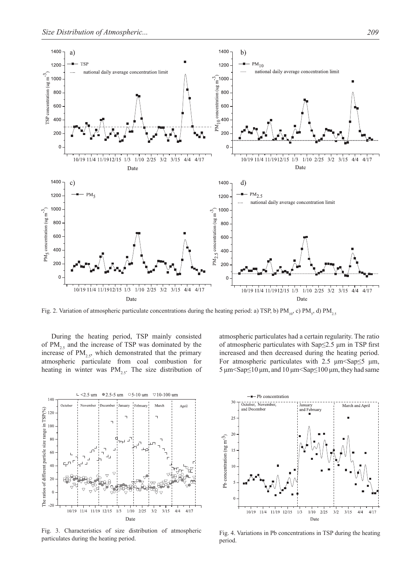

Fig. 2. Variation of atmospheric particulate concentrations during the heating period: a) TSP, b)  $PM_{10}$ , c)  $PM_{5}$ , d)  $PM_{2.5}$ 

During the heating period, TSP mainly consisted of  $PM_{2.5}$  and the increase of TSP was dominated by the increase of  $PM<sub>2.5</sub>$ , which demonstrated that the primary atmospheric particulate from coal combustion for heating in winter was  $PM_{25}$ . The size distribution of atmospheric particulates had a certain regularity. The ratio of atmospheric particulates with Sap≤2.5 μm in TSP first increased and then decreased during the heating period. For atmospheric particulates with 2.5  $\mu$ m <Sap 
sets  $\mu$ m, 5 μm  $\text{Sap} \leq 10$  μm, and  $10$  μm  $\text{Sap} \leq 100$  μm, they had same



Fig. 3. Characteristics of size distribution of atmospheric Fig. 3. Characteristics of size distribution of atmospheric Fig. 4. Variations in Pb concentrations in TSP during the heating particulates during the heating period



period.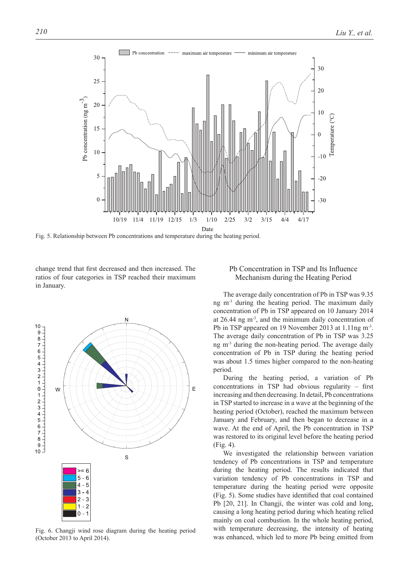

Fig. 5. Relationship between Pb concentrations and temperature during the heating period.

change trend that first decreased and then increased. The ratios of four categories in TSP reached their maximum in January.



Fig. 6. Changji wind rose diagram during the heating period (October 2013 to April 2014).

# Pb Concentration in TSP and Its Influence Mechanism during the Heating Period

The average daily concentration of Pb in TSP was 9.35 ng  $m<sup>3</sup>$  during the heating period. The maximum daily concentration of Pb in TSP appeared on 10 January 2014 at 26.44 ng m-3, and the minimum daily concentration of Pb in TSP appeared on 19 November 2013 at 1.11ng m-3. The average daily concentration of Pb in TSP was 3.25 ng m<sup>-3</sup> during the non-heating period. The average daily concentration of Pb in TSP during the heating period was about 1.5 times higher compared to the non-heating period.

During the heating period, a variation of Pb concentrations in TSP had obvious regularity – first increasing and then decreasing. In detail, Pb concentrations in TSP started to increase in a wave at the beginning of the heating period (October), reached the maximum between January and February, and then began to decrease in a wave. At the end of April, the Pb concentration in TSP was restored to its original level before the heating period (Fig. 4).

We investigated the relationship between variation tendency of Pb concentrations in TSP and temperature during the heating period. The results indicated that variation tendency of Pb concentrations in TSP and temperature during the heating period were opposite (Fig. 5). Some studies have identified that coal contained Pb [20, 21]. In Changji, the winter was cold and long, causing a long heating period during which heating relied mainly on coal combustion. In the whole heating period, with temperature decreasing, the intensity of heating was enhanced, which led to more Pb being emitted from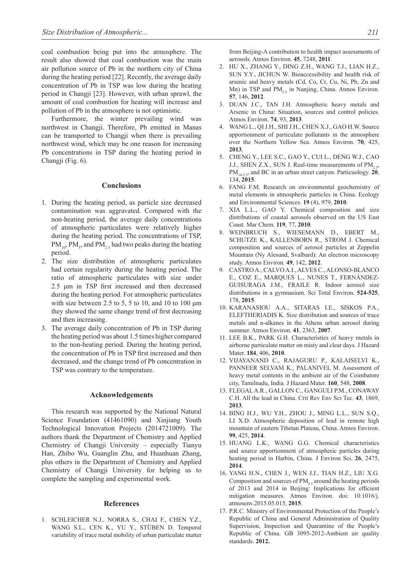coal combustion being put into the atmosphere. The result also showed that coal combustion was the main air pollution source of Pb in the northern city of China during the heating period [22]. Recently, the average daily concentration of Pb in TSP was low during the heating period in Changji [23]. However, with urban sprawl, the amount of coal combustion for heating will increase and pollution of Pb in the atmosphere is not optimistic.

Furthermore, the winter prevailing wind was northwest in Changji. Therefore, Pb emitted in Manas can be transported to Changji when there is prevailing northwest wind, which may be one reason for increasing Pb concentrations in TSP during the heating period in Changji (Fig. 6).

#### **Conclusions**

- 1. During the heating period, as particle size decreased contamination was aggravated. Compared with the non-heating period, the average daily concentrations of atmospheric particulates were relatively higher during the heating period. The concentrations of TSP,  $PM_{10}$ ,  $PM_{5}$ , and  $PM_{2.5}$  had two peaks during the heating period.
- 2. The size distribution of atmospheric particulates had certain regularity during the heating period. The ratio of atmospheric particulates with size under 2.5 μm in TSP first increased and then decreased during the heating period. For atmospheric particulates with size between 2.5 to 5, 5 to 10, and 10 to 100 μm they showed the same change trend of first decreasing and then increasing.
- 3. The average daily concentration of Pb in TSP during the heating period was about 1.5 times higher compared to the non-heating period. During the heating period, the concentration of Pb in TSP first increased and then decreased, and the change trend of Pb concentration in TSP was contrary to the temperature.

# **Acknowledgements**

This research was supported by the National Natural Science Foundation (41461090) and Xinjiang Youth Technological Innovation Projects (2014721009). The authors thank the Department of Chemistry and Applied Chemistry of Changji University – especially Tianyu Han, Zhibo Wu, Guanglin Zhu, and Huanhuan Zhang, plus others in the Department of Chemistry and Applied Chemistry of Changji University for helping us to complete the sampling and experimental work.

#### **References**

1. SCHLEICHER N.J., NORRA S., CHAI F., CHEN Y.Z., WANG S.L., CEN K., YU Y., STÜBEN D. Temporal variability of trace metal mobility of urban particulate matter from Beijing-A contribution to health impact assessments of aerosols. Atmos Environ. **45**, 7248, **2011**.

- 2. HU X., ZHANG Y., DING Z.H., WANG T.J., LIAN H.Z., SUN Y.Y., JICHUN W. Bioaccessibility and health risk of arsenic and heavy metals (Cd, Co, Cr, Cu, Ni, Pb, Zn and Mn) in TSP and  $PM_{25}$  in Nanjing, China. Atmos Environ. **57**, 146, **2012**.
- 3. DUAN J.C., TAN J.H. Atmospheric heavy metals and Arsenic in China: Situation, sources and control policies. Atmos Environ. **74**, 93, **2013**.
- 4. WANG L., QI J.H., SHI J.H., CHEN X.J., GAO H.W. Source apportionment of particulate pollutants in the atmosphere over the Northern Yellow Sea. Atmos Environ. **70**, 425, **2013**.
- 5. CHENG Y., LEE S.C., GAO Y., CUI L., DENG W.J., CAO J.J., SHEN Z.X., SUN J. Real-time measurements of  $PM<sub>2.5</sub>$ ,  $PM_{10-2.5}$ , and BC in an urban street canyon. Particuology. **20**, 134, **2015**.
- 6. FANG F.M. Research on environmental geochemistry of metal elements in atmospheric particles in China. Ecology and Environmental Sciences. **19** (4), 979, **2010**.
- 7. XIA L.L., GAO Y. Chemical composition and size distributions of coastal aerosols observed on the US East Coast. Mar Chem. **119**, 77, **2010**.
- 8. WEINBRUCH S., WIESEMANN D., EBERT M., SCHUTZE K., KALLENBORN R., STROM J. Chemical composition and sources of aerosol particles at Zeppelin Mountain (Ny Alesund, Svalbard): An electron microscopy study. Atmos Environ. **49**, 142, **2012**.
- 9. CASTRO A., CALVO A.I., ALVES C., ALONSO-BLANCO E., COZ E., MARQUES L., NUNES T., FERNÁNDEZ-GUISURAGA J.M., FRAILE R. Indoor aerosol size distributions in a gymnasium. Sci Total Environ. **524-525**, 178, **2015**.
- 10. KARANASIOU A.A., SITARAS I.E., SISKOS P.A., ELEFTHERIADIS K. Size distribution and sources of trace metals and n-alkanes in the Athens urban aerosol during summer. Atmos Environ. **41**, 2363, **2007**.
- 11. LEE B.K., PARK G.H. Characteristics of heavy metals in airborne particulate matter on misty and clear days. J Hazard Mater. **184**, 406, **2010**.
- 12. VIJAYANAND C., RAJAGURU P., KALAISELVI K., PANNEER SELVAM K., PALANIVEL M. Assessment of heavy metal contents in the ambient air of the Coimbatore city, Tamilnadu, India. J Hazard Mater. **160**, 548, **2008**.
- 13. FLEGAL A.R., GALLON C., GANGULI P.M., CONAWAY C.H. All the lead in China. Crit Rev Env Sci Tec. **43**, 1869, **2013**.
- 14. BING H.J., WU Y.H., ZHOU J., MING L.L., SUN S.Q., LI X.D. Atmospheric deposition of lead in remote high mountain of eastern Tibetan Plateau, China. Atmos Environ. **99**, 425, **2014**.
- 15. HUANG L.K., WANG G.G. Chemical characteristics and source apportionment of atmospheric particles during heating period in Harbin, China. J Environ Sci. **26**, 2475, **2014**.
- 16. YANG H.N., CHEN J., WEN J.J., TIAN H.Z., LIU X.G. Composition and sources of  $PM<sub>2.5</sub>$  around the heating periods of 2013 and 2014 in Beijing: Implications for efficient mitigation measures. Atmos Environ. doi: 10.1016/j. atmosenv.2015.05.015, **2015**.
- 17. P.R.C. Ministry of Environmental Protection of the People's Republic of China and General Administration of Quality Supervision, Inspection and Quarantine of the People's Republic of China. GB 3095-2012-Ambient air quality standards. **2012.**